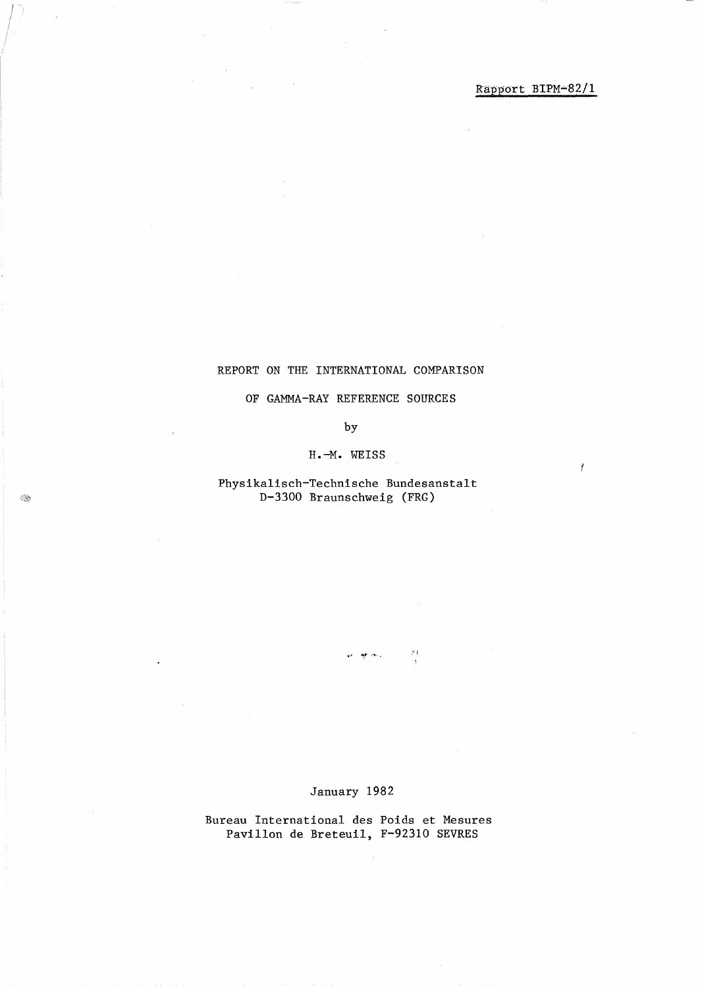Ť

#### REPORT ON THE INTERNATIONAL COMPARISON

#### OF GAMMA-RAY REFERENCE SOURCES

#### by

#### **H.-M.** WEISS

# Physikalisch-Technische Bundesanstalt D-3300 Braunschweig (FRG)

### January 1982

 $\langle \uparrow \rangle$ 

 $\langle \hat{q} \hat{p} \rangle$  and  $\hat{q}$ 

# Bureau International des Poids et Mesures PavilIon de Breteuil, F-92310 SEVRES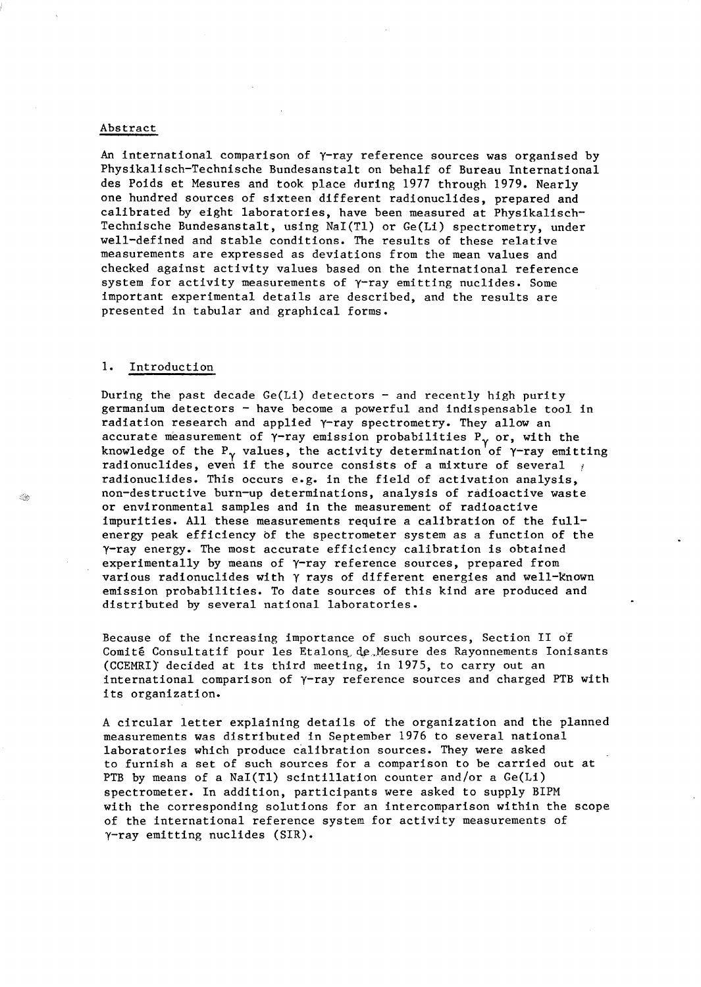#### Abstract

An international comparison of  $\gamma$ -ray reference sources was organised by Physikalisch-Technische Bundesanstalt on behalf of Bureau International des Poids et Mesures and took place during 1977 through 1979. Nearly one hundred sources of sixteen different radionuclides, prepared and calibrated by eight laboratories, have been measured at Physikalisch-Technische Bundesanstalt, using NaI(TI) or Ge(Li) spectrometry, under well-defined and stable conditions. The results of these relative measurements are expressed as deviations from the mean values and checked against activity values based on the international reference system for activity measurements of  $\gamma$ -ray emitting nuclides. Some important experimental details are described, and the results are presented in tabular and graphical forms.

#### **1.** Introduction

During the past decade  $Ge(Li)$  detectors - and recently high purity germanium detectors - have become a powerful and indispensable tool in radiation research and applied Y-ray spectrometry. They allow an accurate measurement of  $\gamma$ -ray emission probabilities  $P_{\gamma}$  or, with the knowledge of the P<sub> $\gamma$ </sub> values, the activity determination of  $\gamma$ -ray emitting radionuclides, even if the source consists of a mixture of several  $\frac{1}{t}$ radionuclides. This occurs e.g. in the field of activation analysis, non-destructive burn-up determinations, analysis of radioactive waste or environmental samples and in the measurement of radioactive impurities. All these measurements require a calibration of the fullenergy peak efficiency of the spectrometer system as a function of the y-ray energy. The most accurate efficiency calibration is obtained experimentally by means of y-ray reference sources, prepared from various radionuclides with y rays of different energies and well-known emission probabilities. To date sources of this kind are produced and distributed by several national laboratories.

Because of the increasing importance of such sources, Section 11 of Comité Consultatif pour les Etalons, de Mesure des Rayonnements Ionisants (CCEMRI)" decided at its third meeting, in 1975, to carry out an international comparison of y-ray reference sources and charged PTB with its organization.

A circular letter explaining details of the organization and the planned measurements was distributed in September 1976 to several national laboratories which produce calibration sources. They were asked to furnish a set of such sources for a comparison to be carried out at PTB by means of a NaI(TI) scintillation counter and/or a Ge(Li) spectrometer. In addition, participants were asked to supply BIPM with the corresponding solutions for an intercomparison within the scope of the international reference system for activity measurements of y-ray emitting nuclides (SIR).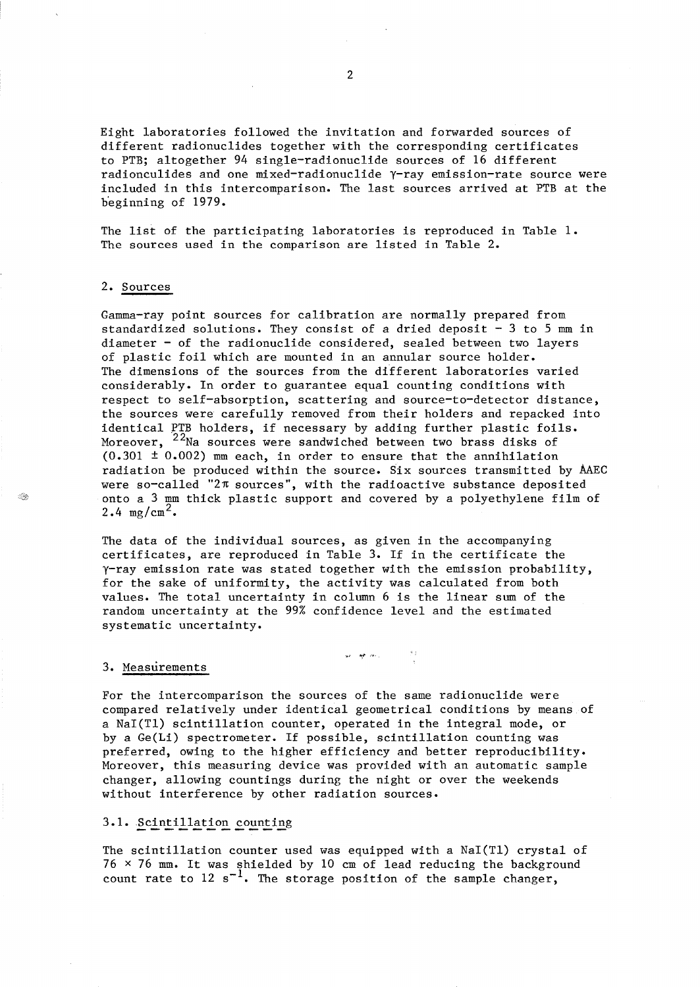Eight laboratories followed the invitation and forwarded sources of different radionuclides together with the corresponding certificates to PTB; altogether 94 single-radionuclide sources of 16 different radionculides and one mixed-radionuclide y-ray emission-rate source were included in this intercomparison. The last sources arrived at PTB at the b'eginning of 1979.

The list of the participating laboratories is reproduced in Table **1.**  The sources used in the comparison are listed in Table 2.

### 2. Sources

≤®

Gamma-ray point sources for calibration are normally prepared from standardized solutions. They consist of a dried deposit  $-3$  to 5 mm in diameter - of the radionuclide considered, sealed between two layers of plastic foil which are mounted in an annular source holder. The dimensions of the sources from the different laboratories varied considerably. In order to guarantee equal counting conditions with respect to self-absorption, scattering and source-to-detector distance, the sources were carefully removed from their holders and repacked into identical PTB holders, if necessary by adding further plastic foils. Moreover, <sup>22</sup>Na sources were sandwiched between two brass disks of  $(0.301 \pm 0.002)$  mm each, in order to ensure that the annihilation radiation be produced within the source. Six sources transmitted by AAEC were so-called "2 $\pi$  sources", with the radioactive substance deposited onto a 3 mm thick plastic support and covered by a polyethylene film of  $2.4 \text{ mg/cm}^2$ .

The data of the individual sources, as given in the accompanying certificates, are reproduced in Table 3. If in the certificate the  $\gamma$ -ray emission rate was stated together with the emission probability, for the sake of uniformity, the activity was calculated from both values. The total uncertainty in column 6 is the linear sum of the random uncertainty at the 99% confidence level and the estimated systematic uncertainty.

أربعا فهاري

#### 3. Measurements

For the intercomparison the sources of the same radionuclide were compared relatively under identical geometrical conditions by means of a NaI(Tl) scintillation counter, operated in the integral mode, or by a Ge(Li) spectrometer. If possible, scintillation counting was preferred, owing to the higher efficiency and better reproducibility. Moreover, this measuring device was provided with an automatic sample changer, allowing countings during the night or over the weekends without interference by other radiation sources.

#### 3.1. Scintillation counting

The scintillation counter used was equipped with a NaI(Tl) crystal of  $76 \times 76$  mm. It was shielded by 10 cm of lead reducing the background count rate to 12  $s^{-1}$ . The storage position of the sample changer,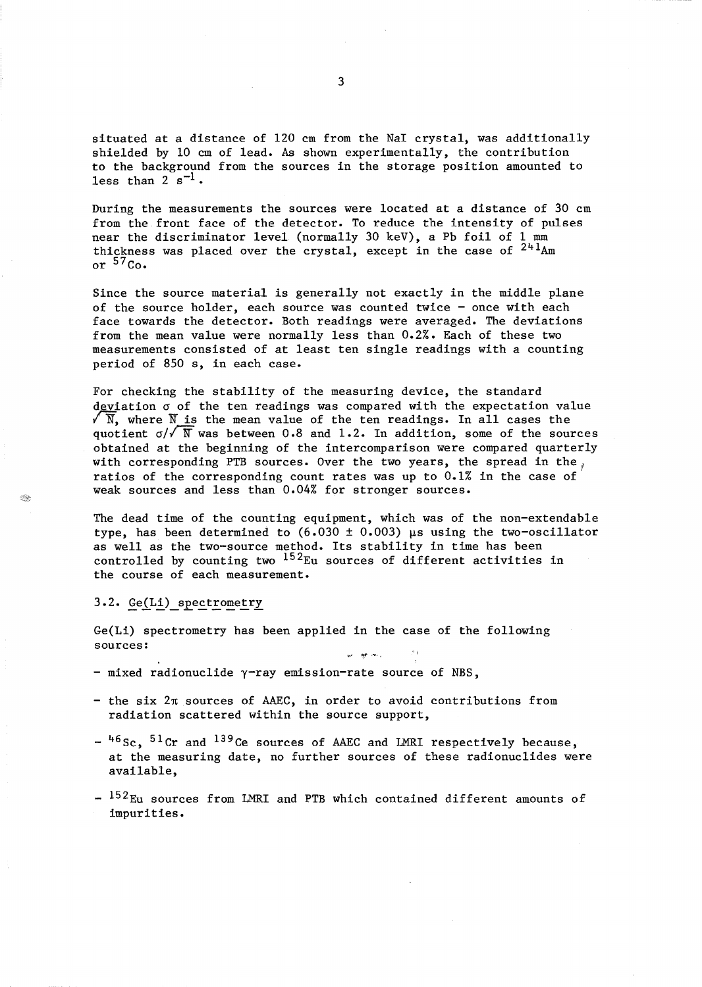situated at a distance of 120 cm from the NaI crystal, was additionally shielded by 10 cm of lead. As shown experimentally, the contribution to the background from the sources in the storage position amounted to less than  $2 s^{-1}$ .

During the measurements the sources were located at a distance of 30 cm from the front face of the detector. To reduce the intensity of pulses near the discriminator level (normally 30 keV), a Pb foil of 1 mm thickness was placed over the crystal, except in the case of  $241$ Am or  $57$  Co.

Since the source material is generally not exactly in the middle plane of the source holder, each source was counted twice - once with each face towards the detector. Both readings were averaged. The deviations from the mean value were normally less than 0.2%. Each of these two measurements consisted of at least ten single readings with a counting period of 850 s, in each case.

For checking the stability of the measuring device, the standard deviation *a* of the ten readings was compared with the expectation value  $\sqrt{\overline{N}}$ , where  $\overline{N}$  is the mean value of the ten readings. In all cases the quotient  $\sigma/\sqrt{N}$  was between 0.8 and 1.2. In addition, some of the sources obtained at the beginning of the intercomparison were compared quarterly with corresponding PTB sources. Over the two years, the spread in the, ratios of the corresponding count rates was up to  $0.1\%$  in the case of weak sources and less than 0.04% for stronger sources.

The dead time of the counting equipment, which was of the non-extendable type, has been determined to  $(6.030 \pm 0.003)$  µs using the two-oscillator as well as the two-source method. Its stability in time has been controlled by counting two  $^{152}$ Eu sources of different activities in the course of each measurement.

#### 3.2. Ge(Li) spectrometry

 $\otimes$ 

Ge(Li) spectrometry has been applied in the case of the following sources: ·ii

- $-$  mixed radionuclide  $\gamma$ -ray emission-rate source of NBS,
- the six *2n* sources of AAEC, in order to avoid contributions from radiation scattered within the source support,
- $-$ <sup>46</sup>Sc, <sup>51</sup>Cr and <sup>139</sup>Ce sources of AAEC and LMRI respectively because, at the measuring date, no further sources of these radionuclides were available,
- <sup>152</sup>Eu sources from LMRI and PTB which contained different amounts of impurities.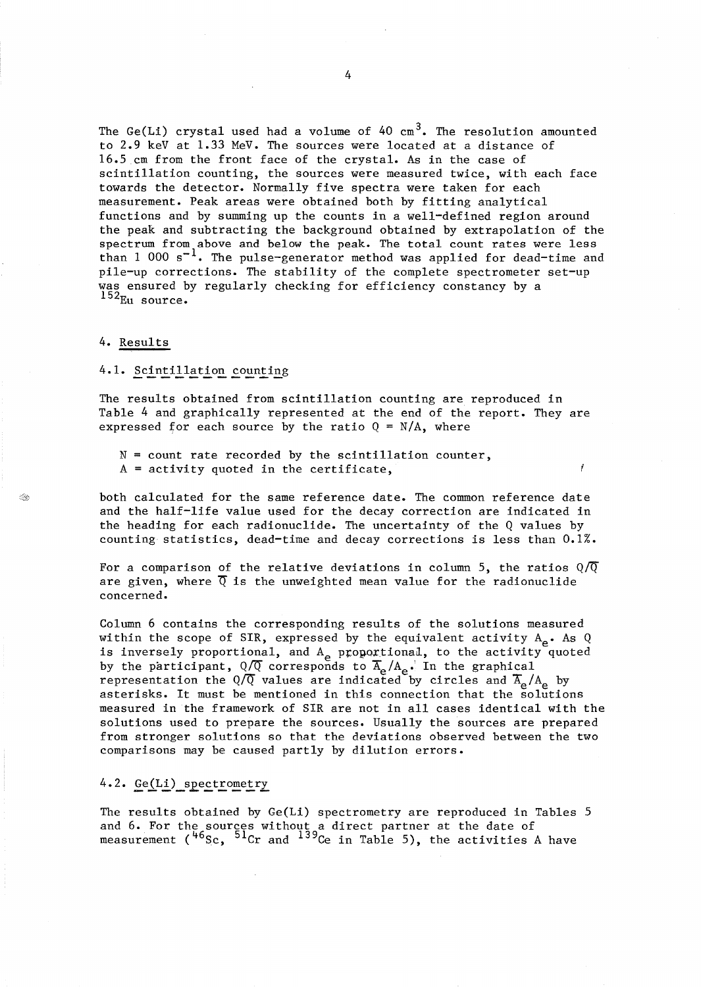The Ge(Li) crystal used had a volume of  $40 \text{ cm}^3$ . The resolution amounted to 2.9 keV at 1.33 MeV. The sources were located at a distance of 16.5 cm from the front face of the crystal. As in the case of scintillation counting, the sources were measured twice, with each face towards the detector. Normally five spectra were taken for each measurement. Peak areas were obtained both by fitting analytical functions and by summing up the counts in a well-defined region around the peak and subtracting the background obtained by extrapolation of the spectrum from above and below the peak. The total count rates were less than 1 000 s<sup>-1</sup>. The pulse-generator method was applied for dead-time and pile-up corrections. The stability of the complete spectrometer set-up was ensured by regularly checking for efficiency constancy by a  $152<sub>Eu</sub> source.$ 

4. Results

I.

### 4.1. Scintillation counting

The results obtained from scintillation counting are reproduced in Table 4 and graphically represented at the end of the report. They are expressed for each source by the ratio  $Q = N/A$ , where

- $N =$  count rate recorded by the scintillation counter,
- $A = activity$  quoted in the certificate,

both calculated for the same reference date. The common reference date and the half-life value used for the decay correction are indicated in the heading for each radionuclide. The uncertainty of the Q values by counting statistics, dead-time and decay corrections is less than 0.1%.

For a comparison of the relative deviations in column 5, the ratios  $\mathbb{Q}/\overline{\mathbb{Q}}$ are given, where  $\overline{Q}$  is the unweighted mean value for the radionuclide concerned.

Column 6 contains the corresponding results of the solutions measured within the scope of SIR, expressed by the equivalent activity  $A_{\rho}$ . As Q is inversely proportional, and  $A_{\rho}$  proportional, to the activity quoted by the participant,  $Q/\overline{Q}$  corresponds to  $\overline{A}_{e}/A_{e}$ . In the graphical representation the  $Q/\overline{Q}$  values are indicated by circles and  $\overline{A}_{\alpha}/A_{\alpha}$  by asterisks. It must be mentioned in this connection that the solutions measured in the framework of SIR are not in all cases identical with the solutions used to prepare the sources. Usually the sources are prepared from stronger solutions so that the deviations observed between the two comparisons may be caused partly by dilution errors.

# 4.2. Ge(Li) spectrometry

The results obtained by Ge(Li) spectrometry are reproduced in Tables 5 and 6. For the sources without a direct partner at the date of measurement  $({}^{46}Sc, {}^{51}Cr$  and  ${}^{139}Ce$  in Table 5), the activities A have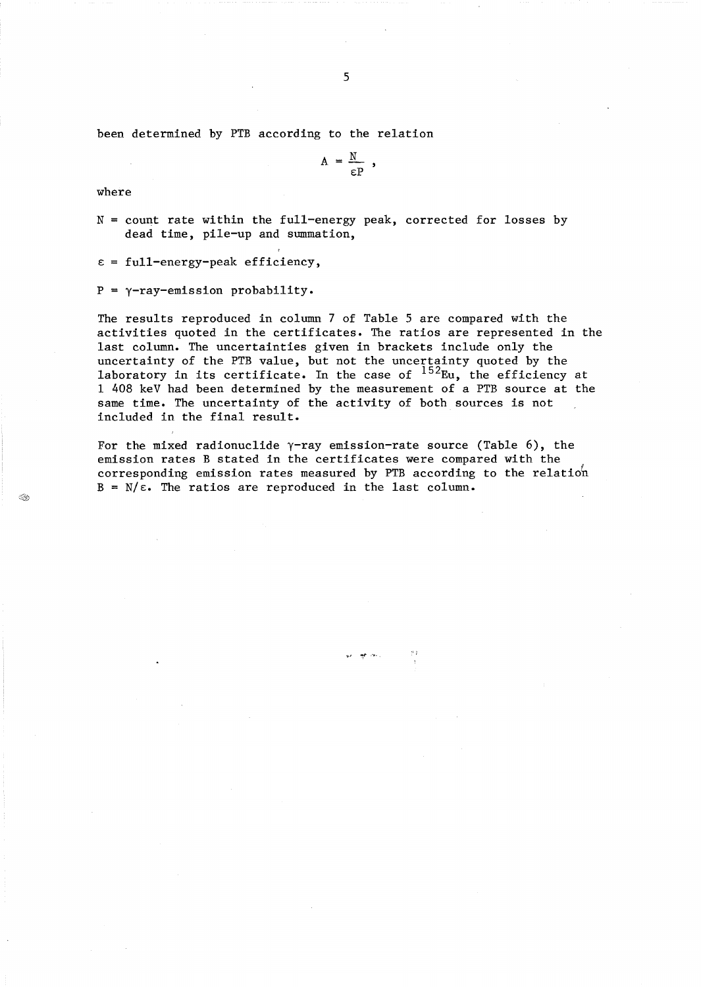been determined by PTB according to the relation

$$
A = \frac{N}{\epsilon P} ,
$$

where

N = count rate within the full-energy peak, corrected for losses by dead time, pile-up and summation,

 $\epsilon$  = full-energy-peak efficiency,

 $P = \gamma$ -ray-emission probability.

The results reproduced in column 7 of Table 5 are compared with the activities quoted in the certificates. The ratios are represented in the last column. The uncertainties given in brackets include only the uncertainty of the PTB value, but not the uncertainty quoted by the laboratory in its certificate. In the case of  $^{152}$ Eu, the efficiency at 1 408 keV had been determined by the measurement of a PTB source at the same time. The uncertainty of the activity of both sources is not included in the final result.

For the mixed radionuclide  $\gamma$ -ray emission-rate source (Table 6), the emission rates B stated in the certificates were compared with the corresponding emission rates measured by PTB according to the relatioh  $B = N/\epsilon$ . The ratios are reproduced in the last column.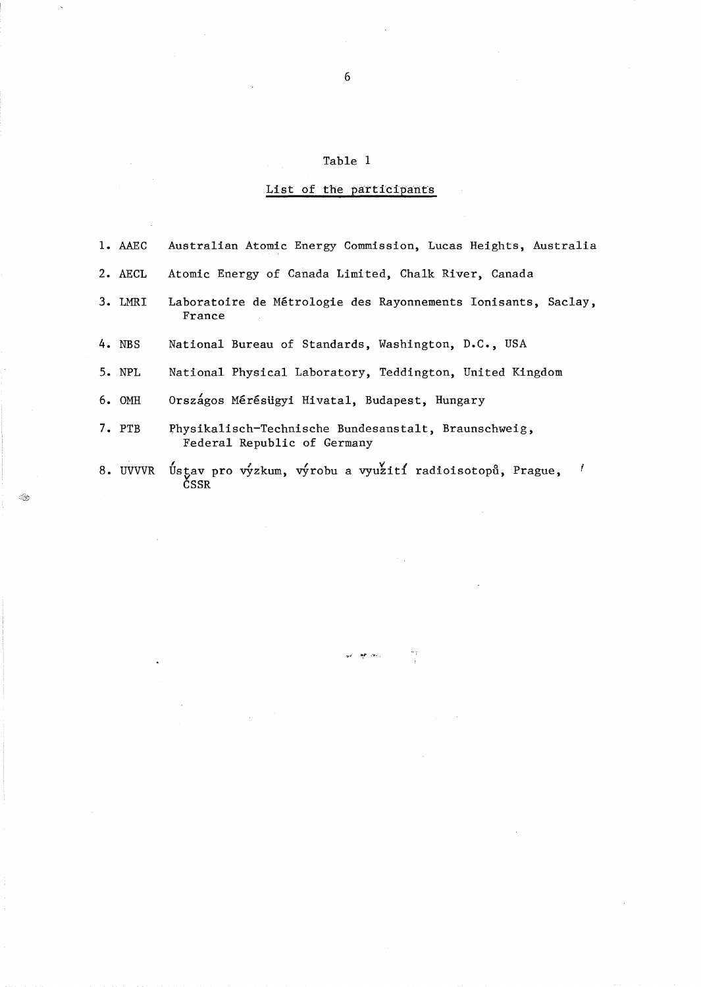# Table 1

 $\overline{6}$ 

# List of the participants

| 1. AAEC | Australian Atomic Energy Commission, Lucas Heights, Australia                       |
|---------|-------------------------------------------------------------------------------------|
| 2. AECL | Atomic Energy of Canada Limited, Chalk River, Canada                                |
| 3. LMRI | Laboratoire de Métrologie des Rayonnements Ionisants, Saclay,<br>France             |
| 4. NBS  | National Bureau of Standards, Washington, D.C., USA                                 |
| 5. NPL  | National Physical Laboratory, Teddington, United Kingdom                            |
| 6. OMH  | Országos Mérésügyi Hivatal, Budapest, Hungary                                       |
| 7. PTB  | Physikalisch-Technische Bundesanstalt, Braunschweig,<br>Federal Republic of Germany |
|         | 8. UVVVR Ústav pro výzkum, výrobu a využití radioisotopů, Prague,<br>CSSR           |

 $\frac{2\pi}{3}$ 

op als ų,

 $\mathcal{L}$ 

÷.

 $\sim$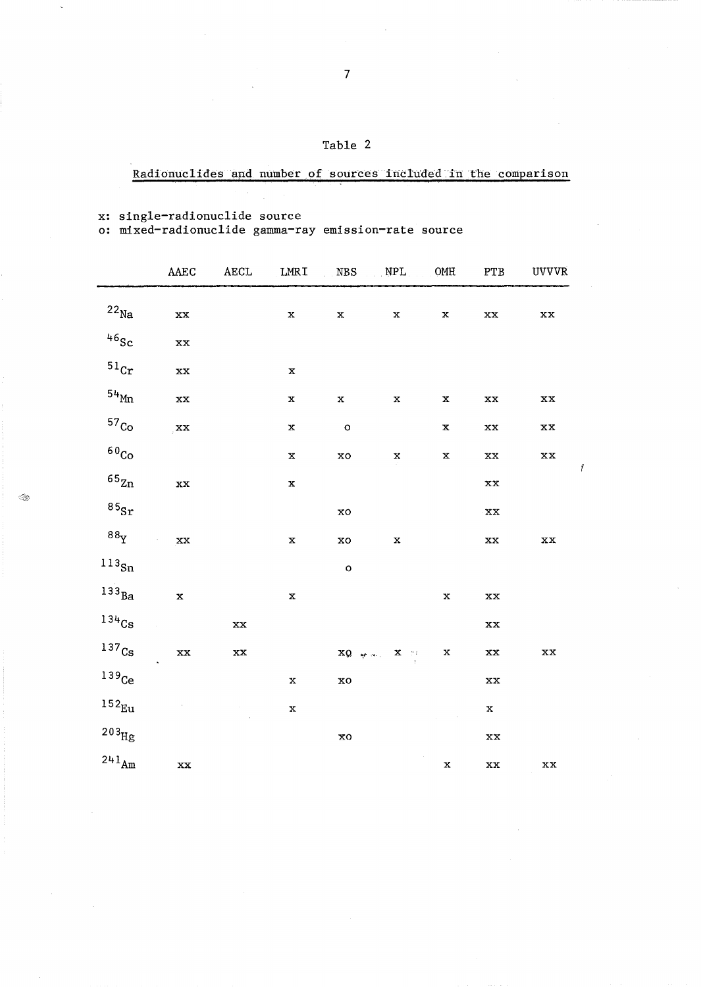| rapi. |  |
|-------|--|
|-------|--|

# Radionuclides and number of sources included in the comparison

 $\mathcal{L}$ 

 $\bar{\beta}$ 

x: single-radionuclide source<br>o: mixed-radionuclide gamma-ray emission-rate source

|                             | AAEC                    | <b>AECL</b>             | LMRI        | NBS NPL                |                                                    | $_{\rm OMH}$ | ${\tt PTB}$             | <b>UVVVR</b>             |
|-----------------------------|-------------------------|-------------------------|-------------|------------------------|----------------------------------------------------|--------------|-------------------------|--------------------------|
| $^{22}\rm{Na}$              | xx                      |                         | $\mathbf x$ | $\mathbf x$            | $\mathbf x$                                        | $\mathbf x$  | $\mathbf{X} \mathbf{X}$ | $\mathbf{x}\mathbf{x}$   |
| $^{46}\mathrm{Sc}$          | $\mathbf{X} \mathbf{X}$ |                         |             |                        |                                                    |              |                         |                          |
| $\rm ^{51}Cr$               | $\mathbf{X} \mathbf{X}$ |                         | $\mathbf x$ |                        |                                                    |              |                         |                          |
| $^{54}$ Mn                  | $\mathbf{X} \mathbf{X}$ |                         | $\mathbf x$ | $\mathbf x$            | $\mathbf x$                                        | $\mathbf x$  | $\mathbf{X} \mathbf{X}$ | $\mathbf{X}\mathbf{X}$   |
| 57 <sub>Co</sub>            | $\mathbf{X}$            |                         | $\mathbf x$ | $\circ$                |                                                    | $\mathbf x$  | $\mathbf{X} \mathbf{X}$ | $\mathbf{X}\mathbf{X}$   |
| $^{60}\mathrm{Co}$          |                         |                         | $\mathbf x$ | xo                     | $\mathbf x$                                        | $\mathbf x$  | $\mathbf{X} \mathbf{X}$ | $\mathbf{x}\,\mathbf{x}$ |
| $\mathfrak{^{6}5}_{\rm Zn}$ | xx                      |                         | $\mathbf x$ |                        |                                                    |              | $\mathbf{X}\mathbf{X}$  |                          |
| $^{85}\! {\rm Sr}$          |                         |                         |             | xo                     |                                                    |              | $\mathbf{X}\mathbf{X}$  |                          |
| $88\Upsilon$                | $\mathbf{X} \mathbf{X}$ |                         | $\mathbf x$ | ${\bf x}{\bf o}$       | $\mathbf x$                                        |              | $\mathbf{X}\mathbf{X}$  | $\mathbf{X} \mathbf{X}$  |
| $^{113}\!$ Sn               |                         |                         |             | $\circ$                |                                                    |              |                         |                          |
| $133_{Ba}$                  | $\mathbf x$             |                         | $\mathbf x$ |                        |                                                    | $\mathbf x$  | $\mathbf{X} \mathbf{X}$ |                          |
| $134$ <sub>Cs</sub>         |                         | $\mathbf{X} \mathbf{X}$ |             |                        |                                                    |              | $\mathbf{X} \mathbf{X}$ |                          |
| 137 <sub>Cs</sub>           | $\mathbf{X} \mathbf{X}$ | $\mathbf{X} \mathbf{X}$ |             |                        | $XQ = \frac{1}{2} \sigma^2$ and $X = 2$ is the set | $\mathbf x$  | $\mathbf{X} \mathbf{X}$ | $\mathbf{x} \mathbf{x}$  |
| $139$ Ce                    |                         |                         | $\mathbf x$ | $\mathbf{x}\mathbf{o}$ |                                                    |              | $\mathbf{X}\mathbf{X}$  |                          |
| $152_{\text{Eu}}$           |                         |                         | $\mathbf x$ |                        |                                                    |              | $\mathbf x$             |                          |
| $\rm ^{203}Hg$              |                         |                         |             | <b>xo</b>              |                                                    |              | $\mathbf{X}\mathbf{X}$  |                          |
| $^{241}\mathrm{Am}$         | $\mathbf{X} \mathbf{X}$ |                         |             |                        |                                                    | $\mathbf x$  | $\mathbf{X} \mathbf{X}$ | $\mathbf{X} \mathbf{X}$  |

 $\mathbf{I}$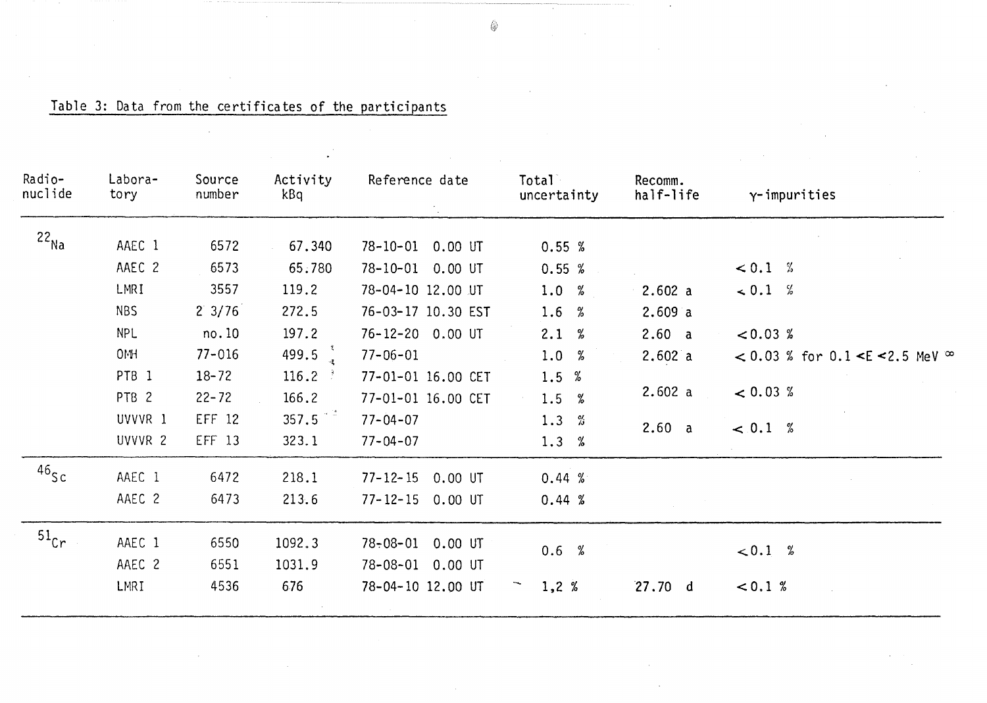| Radio-<br>nuclide  | Labora-<br>tory  | Source<br>number | Activity<br>kBq | Reference date              | <b>Total</b><br>uncertainty | Recomm.<br>half-life | $\gamma$ -impurities                                |
|--------------------|------------------|------------------|-----------------|-----------------------------|-----------------------------|----------------------|-----------------------------------------------------|
| $22_{\text{Na}}$   | AAEC 1           | 6572             | 67.340          | $78 - 10 - 01$<br>$0.00$ UT | 0.55%                       |                      |                                                     |
|                    | AAEC 2           | 6573             | 65.780          | 78-10-01 0.00 UT            | 0.55%                       |                      | < 0.1 %                                             |
|                    | LMRI             | 3557             | 119.2           | 78-04-10 12.00 UT           | 1.0%                        | 2.602 a              | $\le 0.1\%$                                         |
|                    | <b>NBS</b>       | $2 \frac{3}{76}$ | 272.5           | 76-03-17 10.30 EST          | 1.6 $%$                     | 2.609a               |                                                     |
|                    | <b>NPL</b>       | no.10            | 197.2           | 76-12-20 0.00 UT            | 2.1 %                       | 2.60 a               | < 0.03 %                                            |
|                    | 0MH              | $77 - 016$       | 499.5           | $77 - 06 - 01$              | 1.0%                        | 2.602a               | < 0.03 % for 0.1 <e <2.5="" mev="" td="" ∞<=""></e> |
|                    | PTB <sub>1</sub> | $18 - 72$        | 116.2           | 77-01-01 16.00 CET          | 1.5<br>%                    |                      |                                                     |
|                    | PTB <sub>2</sub> | $22 - 72$        | 166.2           | 77-01-01 16.00 CET          | 1.5 %                       | 2.602 a              | < 0.03 %                                            |
|                    | UVVVR 1          | EFF 12           | 357.5           | $77 - 04 - 07$              | 1.3 $%$                     | 2.60 a               | $\leq 0.1 %$                                        |
|                    | UVVVR 2          | EFF 13           | 323.1           | $77 - 04 - 07$              | 1.3%                        |                      |                                                     |
| $46$ Sc            | AAEC 1           | 6472             | 218.1           | $77 - 12 - 15$<br>$0.00$ UT | 0.44%                       |                      |                                                     |
|                    | AAEC 2           | 6473             | 213.6           | $77 - 12 - 15$<br>$0.00$ UT | 0.44%                       |                      |                                                     |
| $51$ <sub>Cr</sub> | AAEC 1           | 6550             | 1092.3          | $78 - 08 - 01$<br>$0.00$ UT |                             |                      |                                                     |
|                    | AAEC 2           | 6551             | 1031.9          | $78 - 08 - 01$<br>$0.00$ UT | 0.6 %                       |                      | < 0.1 %                                             |
|                    | LMRI             | 4536             | 676             | 78-04-10 12.00 UT           | 1,2%                        | 27.70 d              | < 0.1 %                                             |

Table 3: Data from the certificates of the participants

◈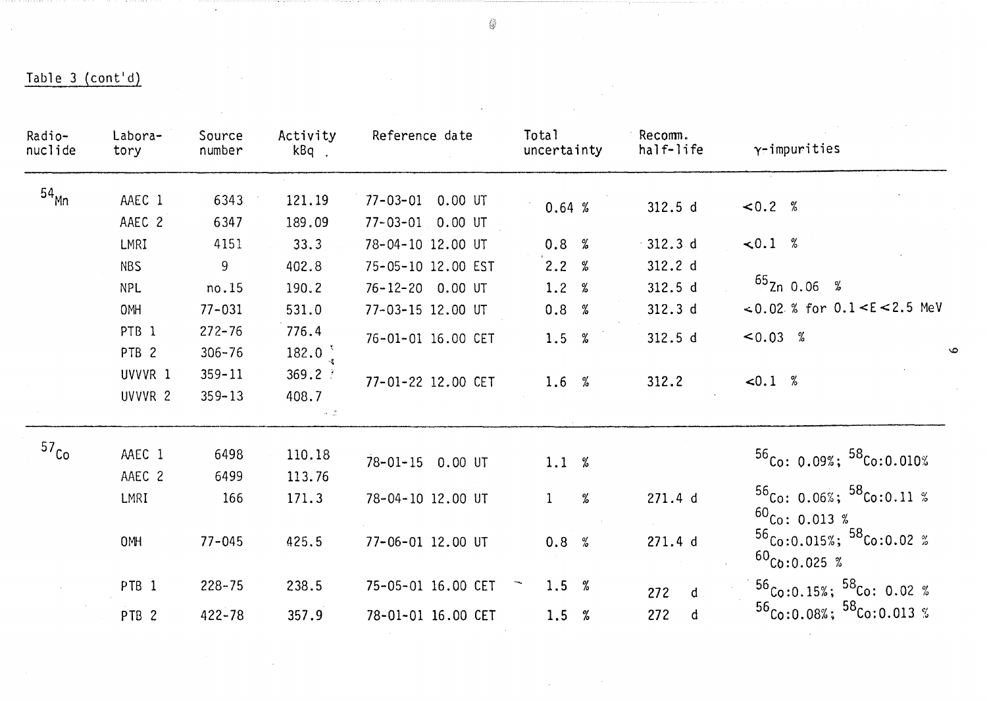| Radio-<br>nuclide | Labora-<br>tory  | Source<br>number | Activity<br>kBq.                 | Reference date              | Total<br>uncertainty | Recomm.<br>half-life | $\gamma$ -impurities                                       |
|-------------------|------------------|------------------|----------------------------------|-----------------------------|----------------------|----------------------|------------------------------------------------------------|
| 54 <sub>Mn</sub>  | AAEC 1           | 6343             | 121.19                           | $77 - 03 - 01$<br>$0.00$ UT | 0.64%                | 312.5 d              | < 0.2 %                                                    |
|                   | AAEC 2           | 6347             | 189.09                           | $77 - 03 - 01$<br>$0.00$ UT |                      |                      |                                                            |
|                   | LMRI             | 4151             | 33.3                             | 78-04-10 12.00 UT           | 0.8%                 | $-312.3d$            | $\lt 0.1 %$                                                |
|                   | <b>NBS</b>       | 9                | 402.8                            | 75-05-10 12.00 EST          | 2.2 %                | 312.2 d              |                                                            |
|                   | <b>NPL</b>       | no.15            | 190.2                            | 76-12-20 0.00 UT            | 1.2 %                | 312.5 d              | $^{65}$ Zn 0.06 %                                          |
|                   | <b>OMH</b>       | $77 - 031$       | 531.0                            | 77-03-15 12.00 UT           | 0.8 %                | 312.3 d              | <0.02 % for $0.1 < E < 2.5$ MeV                            |
|                   | PTB <sub>1</sub> | $272 - 76$       | 776.4                            | 76-01-01 16.00 CET          | 1.5 %                | 312.5 d              | $< 0.03$ %                                                 |
|                   | PTB <sub>2</sub> | $306 - 76$       | 182.0 $^{3}$                     |                             |                      |                      |                                                            |
|                   | UVVVR 1          | $359 - 11$       | 369.2                            | 77-01-22 12.00 CET          | 1.6%                 | 312.2                | < 0.1 %                                                    |
|                   | UVVVR 2          | $359 - 13$       | 408.7<br>$\sim$ $^{+2.0}_{-0.0}$ |                             |                      |                      |                                                            |
| 57 <sub>Co</sub>  | AAEC 1           | 6498             | 110.18                           |                             |                      |                      | $56$ Co: 0.09%; $58$ Co:0.010%                             |
|                   | AAEC 2           | 6499             | 113.76                           | 78-01-15 0.00 UT            | 1.1 %                |                      |                                                            |
|                   | LMRI             | 166              | 171.3                            | 78-04-10 12.00 UT           | %<br>$\mathbf{1}$    | 271.4 d              | $56$ Co: 0.06%; $58$ Co:0.11 %<br>$^{60}$ Co: 0.013 %      |
|                   | 0MH              | $77 - 045$       | 425.5                            | 77-06-01 12.00 UT           | 0.8 %                | 271.4 d              | $^{56}$ Co:0.015%; $^{58}$ Co:0.02 %<br>$^{60}$ Co:0.025 % |
|                   | PTB <sub>1</sub> | $228 - 75$       | 238.5                            | 75-05-01 16.00 CET          | 1.5 $%$              | 272<br>d             | $56$ Co:0.15%; $58$ Co: 0.02 %                             |
|                   | PTB <sub>2</sub> | $422 - 78$       | 357.9                            | 78-01-01 16.00 CET          | 1.5 $%$              | 272<br>$\mathbf{d}$  | $56$ Co:0.08%; $58$ Co:0.013 %                             |

 $\mathcal{L}$ 

 $\mathcal{C}_{\mathcal{A}^{\mathcal{A}}}$ 

 $\bullet$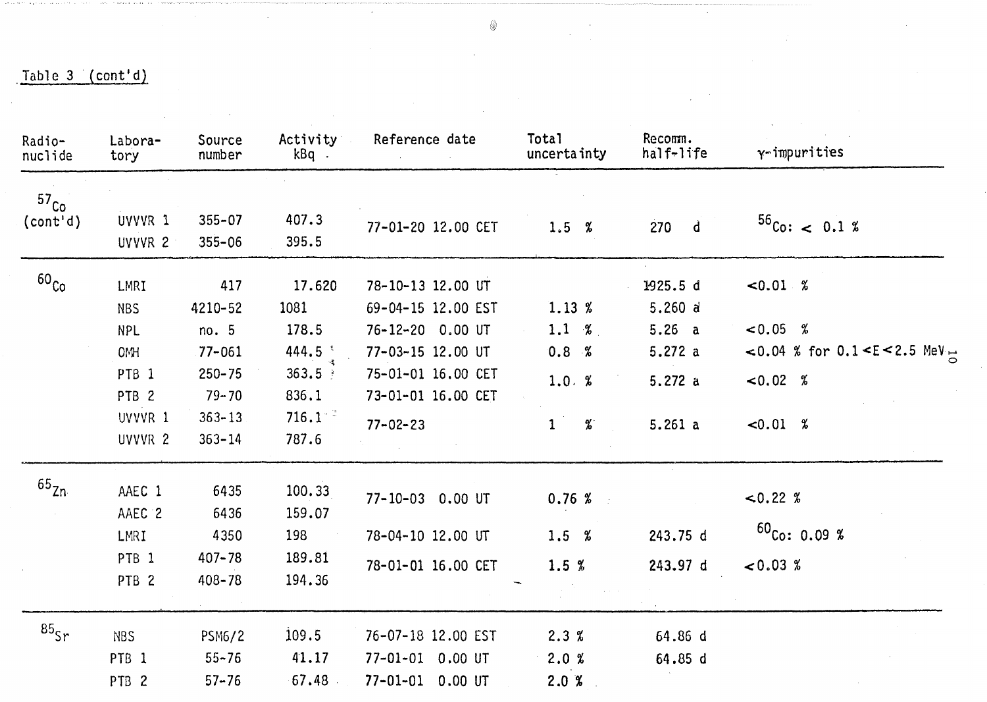$\mathcal{L}_{\mathcal{L}}$ 

 $\mathcal{A}$ 

| Radio-<br>nuclide | Labora-<br>tory  | Source<br>number | Activity<br>kBq.   | Reference date     | Total<br>uncertainty | Recomm.<br>half-life | $\gamma$ -impurities              |
|-------------------|------------------|------------------|--------------------|--------------------|----------------------|----------------------|-----------------------------------|
| 57 <sub>Co</sub>  |                  |                  |                    |                    |                      |                      |                                   |
| $\text{(cont'd)}$ | UVVVR 1          | $355 - 07$       | 407.3              | 77-01-20 12.00 CET | 1.5 %                | $270$ d              | $56C_0$ : < 0.1 %                 |
|                   | UVVVR 2          | $355 - 06$       | 395.5              |                    |                      |                      |                                   |
| 60 <sub>Co</sub>  | LMRI             | 417              | 17.620             | 78-10-13 12.00 UT  |                      | 1925.5 d             | $-0.01 %$                         |
|                   | <b>NBS</b>       | 4210-52          | 1081               | 69-04-15 12.00 EST | 1.13%                | 5.260 a              |                                   |
|                   | <b>NPL</b>       | no. 5            | 178.5              | 76-12-20 0.00 UT   | 1.1 %                | 5.26 a               | $< 0.05$ %                        |
|                   | <b>OMH</b>       | $77 - 061$       | 444.5              | 77-03-15 12.00 UT  | 0.8 %                | 5.272 a              | <0.04 % for $0.1 < E < 2.5$ MeV = |
|                   | PTB <sub>1</sub> | $250 - 75$       | $363.5 +$          | 75-01-01 16.00 CET |                      |                      |                                   |
|                   | PTB <sub>2</sub> | $79 - 70$        | 836.1              | 73-01-01 16.00 CET | 1.0. %               | 5.272a               | $< 0.02$ %                        |
|                   | UVVVR 1          | $363 - 13$       | 716.1 <sup>2</sup> |                    |                      |                      |                                   |
|                   | UVVVR 2          | $363 - 14$       | 787.6              | $77 - 02 - 23$     | $\%$<br>1            | 5.261a               | $\leq 0.01 \, %$                  |
| 65 <sub>Zn</sub>  | AAEC 1           | 6435             | 100.33             |                    |                      |                      |                                   |
|                   | AAEC 2           | 6436             | 159.07             | 77-10-03 0.00 UT   | 0.76%                |                      | $\le 0.22~%$                      |
|                   | LMRI             | 4350             | 198                | 78-04-10 12.00 UT  | 1.5 %                | 243.75 d             | $60_{Co}: 0.09 %$                 |
|                   | PTB <sub>1</sub> | $407 - 78$       | 189.81             |                    |                      |                      |                                   |
|                   | PTB <sub>2</sub> | $408 - 78$       | 194.36             | 78-01-01 16.00 CET | 1.5%                 | 243.97 d             | < 0.03 %                          |
| $85$ sr           | <b>NBS</b>       | <b>PSM6/2</b>    | 109.5              | 76-07-18 12.00 EST | 2.3%                 | 64.86 d              |                                   |
|                   | PTB <sub>1</sub> | $55 - 76$        | 41.17              | 77-01-01 0.00 UT   | 2.0%                 | 64.85 d              |                                   |
|                   | PTB <sub>2</sub> | $57 - 76$        | 67.48              | 77-01-01 0.00 UT   | 2.0%                 |                      |                                   |

◈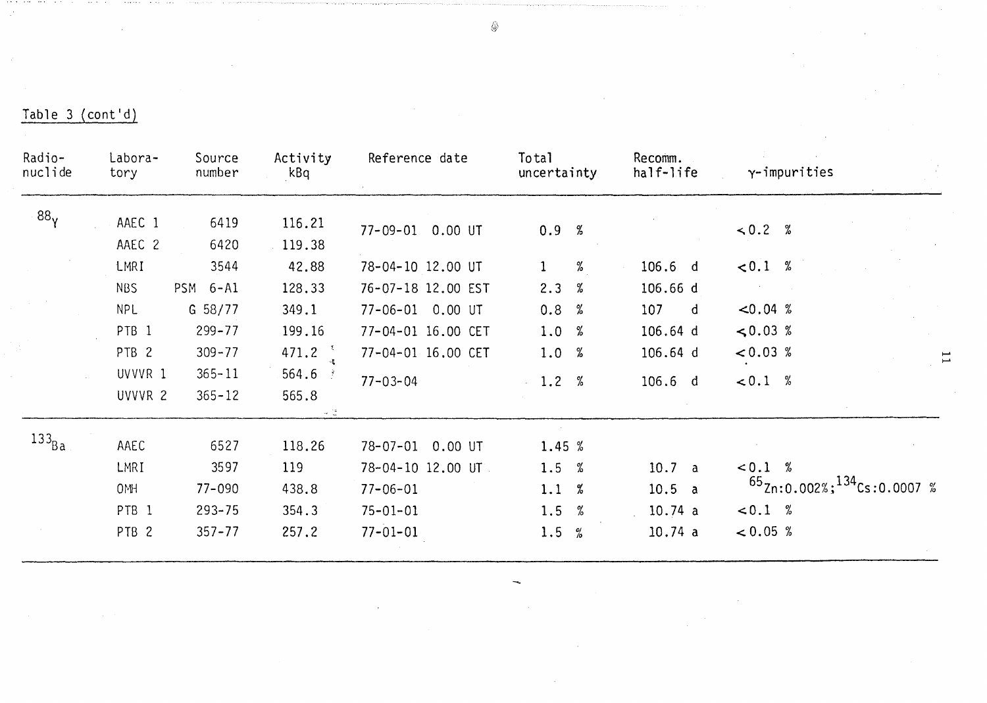| Radio-<br>nuclide | Labora-<br>tory  | Source<br>number       | Activity<br>kBq     | Reference date            | Total<br>uncertainty | Recomm.<br>half-life | $\gamma$ -impurities                    |
|-------------------|------------------|------------------------|---------------------|---------------------------|----------------------|----------------------|-----------------------------------------|
| 88 <sub>y</sub>   | AAEC 1           | 6419                   | 116.21              |                           |                      |                      |                                         |
|                   | AAEC 2           | 6420                   | 119.38              | 77-09-01 0.00 UT          | 0.9 %                |                      | $\le 0.2 %$                             |
|                   | LMRI             | 3544                   | 42.88               | 78-04-10 12.00 UT         | %<br>$\mathbf{1}$    | $106.6$ d            | < 0.1 %                                 |
|                   | <b>NBS</b>       | <b>PSM</b><br>$6 - A1$ | 128.33              | 76-07-18 12.00 EST        | 2.3%                 | 106.66d              |                                         |
|                   | <b>NPL</b>       | $G$ 58/77              | 349.1               | 77-06-01 0.00 UT          | 0.8 %                | 107<br>$\mathsf{d}$  | $< 0.04$ %                              |
|                   | PTB <sub>1</sub> | $299 - 77$             | 199.16              | 77-04-01 16.00 CET        | 1.0 %                | 106.64 d             | $\leq 0.03$ %                           |
|                   | PTB <sub>2</sub> | $309 - 77$             | 471.2               | 77-04-01 16.00 CET        | 1.0 %                | 106.64 d             | < 0.03 %                                |
|                   | UVVVR 1          | $365 - 11$             | 564.6               | $77 - 03 - 04$            | 1.2%                 | $106.6$ d            | < 0.1 %                                 |
|                   | UVVVR 2          | $365 - 12$             | 565.8<br>$\sim$ 15. |                           |                      |                      |                                         |
| $133_{Ba}$        | AAEC             | 6527                   | 118.26              | $78 - 07 - 01$<br>0.00 UT | 1.45 %               |                      |                                         |
|                   | LMRI             | 3597                   | 119                 | 78-04-10 12.00 UT         | 1.5%                 | 10.7 a               | < 0.1 %                                 |
|                   | 0MH              | $77 - 090$             | 438.8               | $77 - 06 - 01$            | 1.1 %                | 10.5 a               | $^{65}$ Zn:0.002%; $^{134}$ Cs:0.0007 % |
|                   | PTB <sub>1</sub> | $293 - 75$             | 354.3               | $75 - 01 - 01$            | 1.5 $%$              | 10.74 a              | < 0.1 %                                 |
|                   | PTB <sub>2</sub> | $357 - 77$             | 257.2               | $77 - 01 - 01$            | 1.5<br>$\frac{0}{0}$ | 10.74a               | < 0.05 %                                |

 $\bigotimes_{i=1}^{n}$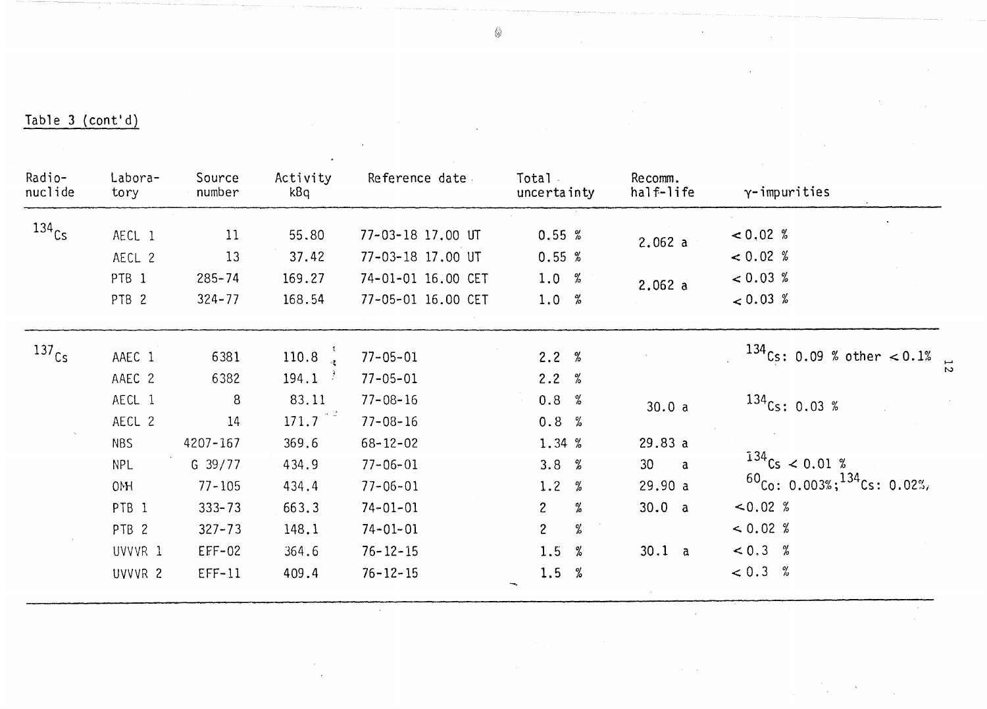| Radio-<br>nuclide   | Labora-<br>tory  | Source<br>number | Activity<br>kBq                    | Reference date.    | Total a<br>uncertainty                                                  | Recomm.<br>half-life            | $\gamma$ -impurities                    |
|---------------------|------------------|------------------|------------------------------------|--------------------|-------------------------------------------------------------------------|---------------------------------|-----------------------------------------|
| $134$ <sub>Cs</sub> | AECL 1           | 11               | 55.80                              | 77-03-18 17.00 UT  | 0.55%                                                                   |                                 | & 0.02 %                                |
|                     | AECL 2           | 13               | 37.42                              | 77-03-18 17.00 UT  | 0.55%                                                                   | 2.062 a                         | < 0.02 %                                |
|                     | PTB <sub>1</sub> | $285 - 74$       | 169.27                             | 74-01-01 16.00 CET | 1.0 %                                                                   |                                 | $< 0.03 \%$                             |
|                     | PTB <sub>2</sub> | $324 - 77$       | 168.54                             | 77-05-01 16.00 CET | 1.0%                                                                    | 2.062a                          | $< 0.03 \%$                             |
| 137 <sub>Cs</sub>   | AAEC 1           | 6381             | 110.8                              | $77 - 05 - 01$     | 2.2%                                                                    |                                 | $134$ Cs: 0.09 % other < 0.1%           |
|                     | AAEC 2           | 6382             | 194.1                              | $77 - 05 - 01$     | 2.2%                                                                    |                                 |                                         |
|                     | AECL 1           | 8                | 83.11                              | $77 - 08 - 16$     | 0.8 %                                                                   |                                 | $134$ Cs: 0.03 %                        |
|                     | AECL 2           | 14               | $171.7$ <sup><math>-2</math></sup> | $77 - 08 - 16$     | 0.8 %                                                                   | 30.0 a                          |                                         |
|                     | <b>NBS</b>       | 4207-167         | 369.6                              | $68 - 12 - 02$     | 1.34 %                                                                  | 29.83a                          |                                         |
|                     | NPL              | $G \quad 39/77$  | 434.9                              | $77 - 06 - 01$     | 3.8<br>%                                                                | 30 <sup>°</sup><br>$\mathbf{a}$ | $134$ Cs < 0.01 %                       |
|                     | <b>OMH</b>       | $77 - 105$       | 434.4                              | $77 - 06 - 01$     | 1.2<br>$% \mathcal{L}_{\mathrm{m}}\rightarrow \mathcal{L}_{\mathrm{m}}$ | 29.90 a                         | $^{60}$ Co: 0.003%; $^{134}$ Cs: 0.02%, |
|                     | PTB <sub>1</sub> | $333 - 73$       | 663.3                              | $74 - 01 - 01$     | $\overline{c}$<br>%                                                     | 30.0 a                          | $< 0.02$ %                              |
|                     | PTB <sub>2</sub> | $327 - 73$       | 148.1                              | $74 - 01 - 01$     | %<br>$\overline{c}$                                                     |                                 | & 0.02 %                                |
|                     | UVVVR 1          | $EFF-02$         | 364.6                              | $76 - 12 - 15$     | 1.5<br>%                                                                | 30.1 a                          | $< 0.3$ %                               |
|                     | UVVVR 2          | $EFF-11$         | 409.4                              | $76 - 12 - 15$     | 1.5 %                                                                   |                                 | < 0.3 %                                 |

 $\mathcal{L}_{\mathcal{A}}$ 

 $\Delta$ 

 $\sim$   $\sim$ 

 $\mathbb{Q}$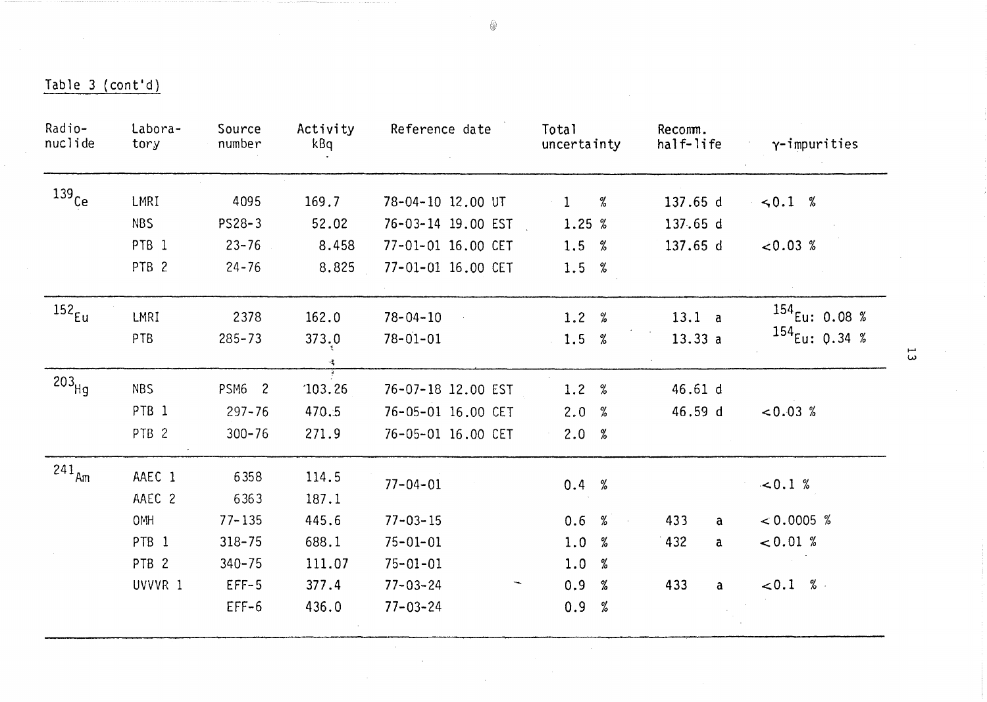| Radio-<br>nuclide   | Labora-<br>tory  | Source<br>number | Activity<br>kBq            | Reference date     | Total<br>uncertainty | Recomm.<br>half-life | $\gamma$ -impurities        |
|---------------------|------------------|------------------|----------------------------|--------------------|----------------------|----------------------|-----------------------------|
| $139$ Ce            | LMRI             | 4095             | 169.7                      | 78-04-10 12.00 UT  | %<br>$\mathbf{1}$    | 137.65 d             | $\le 0.1 %$                 |
|                     | <b>NBS</b>       | PS28-3           | 52.02                      | 76-03-14 19.00 EST | 1.25%                | 137.65 d             |                             |
|                     | PTB <sub>1</sub> | $23 - 76$        | 8.458                      | 77-01-01 16.00 CET | 1.5 %                | 137.65 d             | $< 0.03$ %                  |
|                     | PTB <sub>2</sub> | $24 - 76$        | 8.825                      | 77-01-01 16.00 CET | 1.5 %                |                      |                             |
| 152 <sub>Eu</sub>   | LMRI             | 2378             | 162.0                      | $78 - 04 - 10$     | 1.2%                 | 13.1 a               | $154$ <sub>Eu:</sub> 0.08 % |
|                     | PTB              | $285 - 73$       | 373.0                      | $78 - 01 - 01$     | 1.5 %                | 13.33a               | $154$ <sub>Eu:</sub> 0.34 % |
|                     |                  |                  | $\mathcal{P}_{\mathbf{q}}$ |                    |                      |                      |                             |
| $203$ Hg            | <b>NBS</b>       | PSM6 2           | 103.26                     | 76-07-18 12.00 EST | 1.2%                 | 46.61 d              |                             |
|                     | PTB <sub>1</sub> | $297 - 76$       | 470.5                      | 76-05-01 16.00 CET | 2.0<br>%             | 46.59 d              | $< 0.03$ %                  |
|                     | PTB <sub>2</sub> | $300 - 76$       | 271.9                      | 76-05-01 16.00 CET | 2.0%                 |                      |                             |
| $241$ <sub>Am</sub> | AAEC 1<br>AAEC 2 | 6358<br>6363     | 114.5<br>187.1             | $77 - 04 - 01$     | 0.4%                 |                      | $-0.1 %$                    |
|                     | <b>OMH</b>       | $77 - 135$       | 445.6                      | $77 - 03 - 15$     | 0.6 %                | 433<br>a             | $< 0.0005$ %                |
|                     | PTB <sub>1</sub> | $318 - 75$       | 688.1                      | $75 - 01 - 01$     | 1.0<br>%             | 432<br>a             | 0.01%                       |
|                     | PTB <sub>2</sub> | $340 - 75$       | 111.07                     | $75 - 01 - 01$     | 1.0<br>%             |                      |                             |
|                     | UVVVR 1          | $EFF-5$          | 377.4                      | $77 - 03 - 24$     | 0.9<br>%             | 433<br>a             | < 0.1 %                     |
|                     |                  | $EFF-6$          | 436.0                      | $77 - 03 - 24$     | 0.9<br>%             |                      |                             |

 $\sim$ 

 $\frac{11}{2}$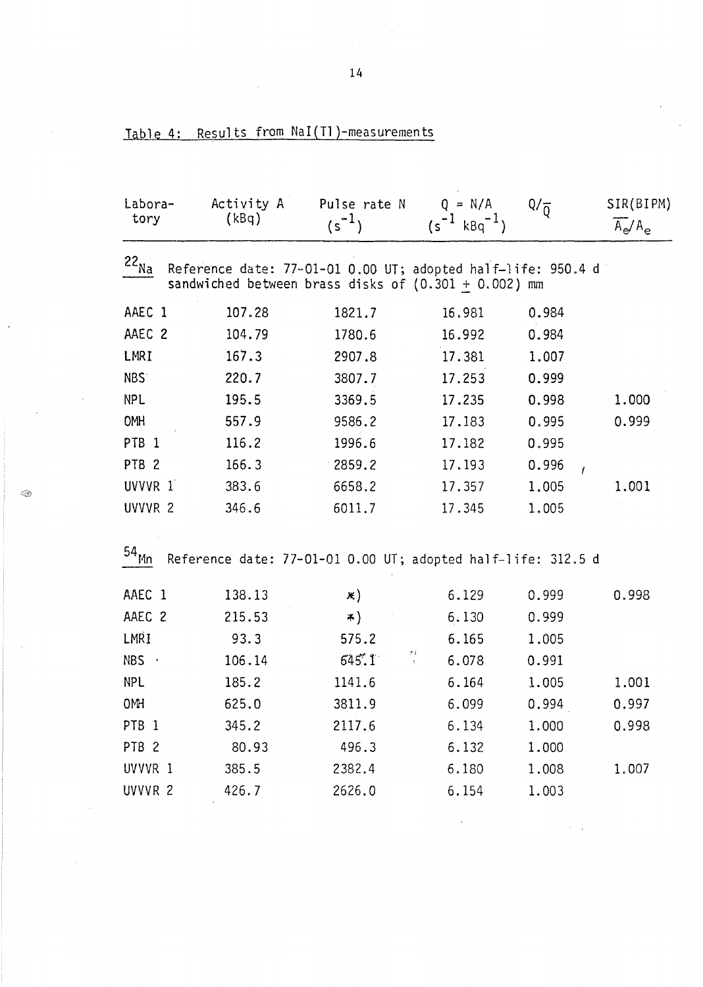| Labora-<br>tory          | Activity A<br>(kBq) | Pulse rate N<br>$(s^{-1})$                                                                                             | $Q = N/A$<br>$(s^{-1} k8q^{-1})$ | $Q/\overline{0}$ | SIR(BIPM)<br>$A_e/A_e$ |
|--------------------------|---------------------|------------------------------------------------------------------------------------------------------------------------|----------------------------------|------------------|------------------------|
| $22_{N_{\underline{a}}}$ |                     | Reference date: 77-01-01 0.00 UT; adopted half-life: 950.4 d<br>sandwiched between brass disks of $(0.301 + 0.002)$ mm |                                  |                  |                        |
| AAEC 1                   | 107.28              | 1821.7                                                                                                                 | 16.981                           | 0.984            |                        |
| AAEC 2                   | 104.79              | 1780.6                                                                                                                 | 16.992                           | 0.984            |                        |
| LMRI                     | 167.3               | 2907.8                                                                                                                 | 17.381                           | 1.007            |                        |
| <b>NBS</b>               | 220.7               | 3807.7                                                                                                                 | 17.253                           | 0.999            |                        |
| <b>NPL</b>               | 195.5               | 3369.5                                                                                                                 | 17.235                           | 0.998            | 1.000                  |
| OMH                      | 557.9               | 9586.2                                                                                                                 | 17.183                           | 0.995            | 0.999                  |
| PTB <sub>1</sub>         | 116.2               | 1996.6                                                                                                                 | 17.182                           | 0.995            |                        |
| PTB <sub>2</sub>         | 166.3               | 2859.2                                                                                                                 | 17.193                           | 0.996<br>ł       |                        |
| UVVVR 1                  | 383.6               | 6658.2                                                                                                                 | 17.357                           | 1.005            | 1.001                  |
| UVVVR <sub>2</sub>       | 346.6               | 6011.7                                                                                                                 | 17.345                           | 1.005            |                        |
| 54 <sub>Mn</sub>         |                     | Reference date: 77-01-01 0.00 UT; adopted half-life: 312.5 d                                                           |                                  |                  |                        |
| AAEC 1                   | 138.13              | $\ast)$                                                                                                                | 6.129                            | 0.999            | 0.998                  |
| AAEC 2                   | 215.53              | *)                                                                                                                     | 6.130                            | 0.999            |                        |
| LMRI                     | 93.3                | 575.2                                                                                                                  | 6.165                            | 1.005            |                        |
| NBS                      | 106.14              | 村<br>645'.1                                                                                                            | 6.078                            | 0.991            |                        |
| <b>NPL</b>               | 185.2               | 1141.6                                                                                                                 | 6.164                            | 1.005            | 1.001                  |
| 0MH                      | 625.0               | 3811.9                                                                                                                 | 6.099                            | 0.994            | 0.997                  |
| PTB <sub>1</sub>         | 345.2               | 2117.6                                                                                                                 | 6.134                            | 1.000            | 0.998                  |
| PTB <sub>2</sub>         | 80.93               | 496.3                                                                                                                  | 6.132                            | 1.000            |                        |
| UVVVR 1                  | 385.5               | 2382.4                                                                                                                 | 6.180                            | 1.008            | 1.007                  |
| UVVVR <sub>2</sub>       | 426.7               | 2626.0                                                                                                                 | 6.154                            | 1.003            |                        |

|  |  |  |  |  | Table 4: Results from $\text{\tt NaI}(\text{\tt Tl})$ -measurements |
|--|--|--|--|--|---------------------------------------------------------------------|
|--|--|--|--|--|---------------------------------------------------------------------|

Q.

 $14$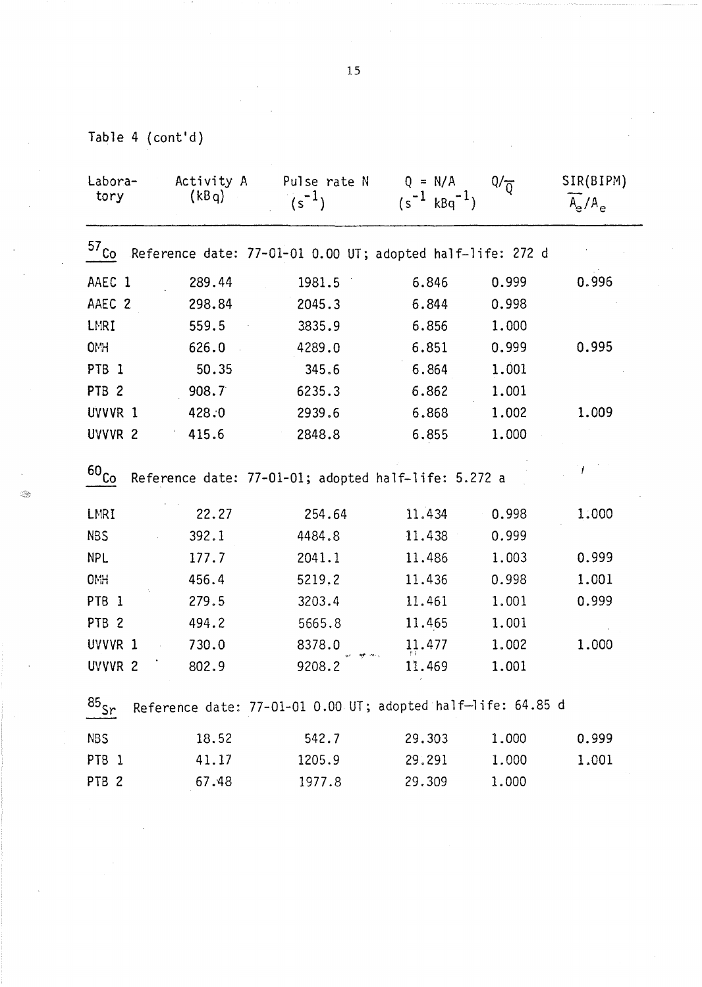Table 4 (cont'd)

| Labora-<br>tory                                                                | Activity A<br>(kBq)                                          | Pulse rate N<br>$(s^{-1})$                           | $Q = N/A$<br>$(s^{-1} k Bq^{-1})$ | $Q/\overline{Q}$ | SIR(BIPM)<br>$A_e/A_e$ |  |  |  |  |  |
|--------------------------------------------------------------------------------|--------------------------------------------------------------|------------------------------------------------------|-----------------------------------|------------------|------------------------|--|--|--|--|--|
| 57 <sub>Co</sub><br>Reference date: 77-01-01 0.00 UT; adopted half-life: 272 d |                                                              |                                                      |                                   |                  |                        |  |  |  |  |  |
| AAEC 1                                                                         | 289.44                                                       | 1981.5                                               | 6.846                             | 0.999            | 0.996                  |  |  |  |  |  |
| AAEC <sub>2</sub>                                                              | 298.84                                                       | 2045.3                                               | 6.844                             | 0.998            |                        |  |  |  |  |  |
| LMRI                                                                           | 559.5                                                        | 3835.9                                               | 6.856                             | 1.000            |                        |  |  |  |  |  |
| <b>OMH</b>                                                                     | 626.0                                                        | 4289.0                                               | 6.851                             | 0.999            | 0.995                  |  |  |  |  |  |
| PTB <sub>1</sub>                                                               | 50.35                                                        | 345.6                                                | 6.864                             | 1.001            |                        |  |  |  |  |  |
| PTB <sub>2</sub>                                                               | 908.7                                                        | 6235.3                                               | 6.862                             | 1.001            |                        |  |  |  |  |  |
| UVVVR 1                                                                        | 428.0                                                        | 2939.6                                               | 6.868                             | 1.002            | 1.009                  |  |  |  |  |  |
| UVVVR <sub>2</sub>                                                             | 415.6                                                        | 2848.8                                               | 6.855                             | 1.000            |                        |  |  |  |  |  |
| $60_{CQ}$                                                                      |                                                              | Reference date: 77-01-01; adopted half-life: 5.272 a |                                   |                  |                        |  |  |  |  |  |
| LMRI                                                                           | 22.27                                                        | 254.64                                               | 11.434                            | 0.998            | 1.000                  |  |  |  |  |  |
| <b>NBS</b>                                                                     | 392.1                                                        | 4484.8                                               | 11.438                            | 0.999            |                        |  |  |  |  |  |
| <b>NPL</b>                                                                     | 177.7                                                        | 2041.1                                               | 11.486                            | 1.003            | 0.999                  |  |  |  |  |  |
| <b>OMH</b>                                                                     | 456.4                                                        | 5219.2                                               | 11.436                            | 0.998            | 1.001                  |  |  |  |  |  |
| PTB <sub>1</sub>                                                               | 279.5                                                        | 3203.4                                               | 11.461                            | 1.001            | 0.999                  |  |  |  |  |  |
| PTB <sub>2</sub>                                                               | 494.2                                                        | 5665.8                                               | 11.465                            | 1.001            |                        |  |  |  |  |  |
| UVVVR 1                                                                        | 730.0                                                        | 8378.0                                               | 11.477                            | 1.002            | 1.000                  |  |  |  |  |  |
| UVVVR <sub>2</sub>                                                             | 802.9                                                        | 9208.2                                               | 11.469                            | 1.001            |                        |  |  |  |  |  |
| $\frac{85}{5}$                                                                 | Reference date: 77-01-01 0.00 UT; adopted half-life: 64.85 d |                                                      |                                   |                  |                        |  |  |  |  |  |
| <b>NBS</b>                                                                     | 18.52                                                        | 542.7                                                | 29.303                            | 1.000            | 0.999                  |  |  |  |  |  |
| PTB <sub>1</sub>                                                               | 41.17                                                        | 1205.9                                               | 29.291                            | 1.000            | 1.001                  |  |  |  |  |  |
| PTB <sub>2</sub>                                                               | 67.48                                                        | 1977.8                                               | 29.309                            | 1.000            |                        |  |  |  |  |  |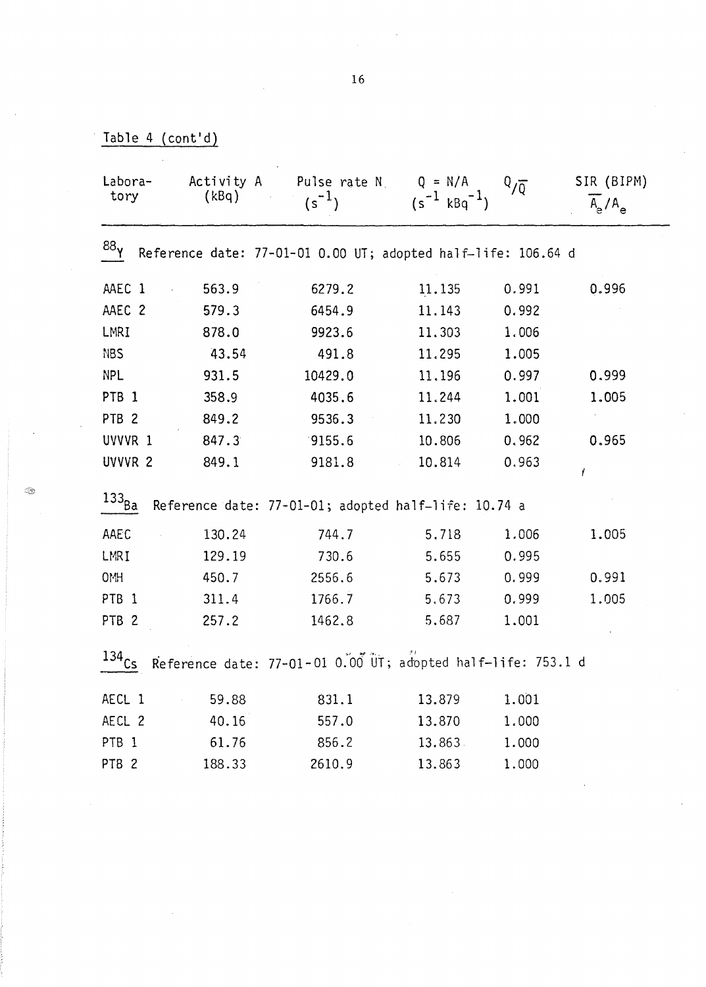| Table 4 $(cont'd)$ |  |
|--------------------|--|
|--------------------|--|

| Activity A<br>Labora-<br>(kBq)<br>tory                                           |        | Pulse rate N<br>$(s^{-1})$                           | $Q = N/A$<br>$(s^{-1} kBq^{-1})$ | $Q/\overline{Q}$ | SIR (BIPM)<br>$A_{\rm e}/A_{\rm e}$ |  |  |  |  |
|----------------------------------------------------------------------------------|--------|------------------------------------------------------|----------------------------------|------------------|-------------------------------------|--|--|--|--|
| 88 <sub>γ</sub><br>Reference date: 77-01-01 0.00 UT; adopted half-life: 106.64 d |        |                                                      |                                  |                  |                                     |  |  |  |  |
| AAEC 1                                                                           | 563.9  | 6279.2                                               | 11.135                           | 0.991            | 0.996                               |  |  |  |  |
| AAEC 2                                                                           | 579.3  | 6454.9                                               | 11.143                           | 0.992            |                                     |  |  |  |  |
| LMRI                                                                             | 878.0  | 9923.6                                               | 11.303                           | 1.006            |                                     |  |  |  |  |
| <b>NBS</b>                                                                       | 43.54  | 491.8                                                | 11.295                           | 1.005            |                                     |  |  |  |  |
| <b>NPL</b>                                                                       | 931.5  | 10429.0                                              | 11.196                           | 0.997            | 0.999                               |  |  |  |  |
| PTB <sub>1</sub>                                                                 | 358.9  | 4035.6                                               | 11.244                           | 1.001            | 1.005                               |  |  |  |  |
| PTB <sub>2</sub>                                                                 | 849.2  | 9536.3                                               | 11.230                           | 1.000            |                                     |  |  |  |  |
| UVVVR 1                                                                          | 847.3  | 9155.6                                               | 10.806                           | 0.962            | 0.965                               |  |  |  |  |
| UVVVR 2                                                                          | 849.1  | 9181.8                                               | 10.814                           | 0.963            | Ť                                   |  |  |  |  |
| $133_{B\underline{a}}$                                                           |        | Reference date: 77-01-01; adopted half-life: 10.74 a |                                  |                  |                                     |  |  |  |  |
| AAEC                                                                             | 130.24 | 744.7                                                | 5.718                            | 1.006            | 1.005                               |  |  |  |  |
| LMRI                                                                             | 129.19 | 730.6                                                | 5.655                            | 0.995            |                                     |  |  |  |  |
| <b>OMH</b>                                                                       | 450.7  | 2556.6                                               | 5.673                            | 0.999            | 0.991                               |  |  |  |  |
| PTB <sub>1</sub>                                                                 | 311.4  | 1766.7                                               | 5.673                            | 0.999            | 1.005                               |  |  |  |  |
| PTB <sub>2</sub>                                                                 | 257.2  | 1462.8                                               | 5.687                            | 1.001            |                                     |  |  |  |  |
| $134$ Cs<br>Reference date: 77-01-01 0.00 UT; adopted half-life: 753.1 d         |        |                                                      |                                  |                  |                                     |  |  |  |  |
| AECL 1                                                                           | 59.88  | 831.1                                                | 13.879                           | 1.001            |                                     |  |  |  |  |
| AECL 2                                                                           | 40.16  | 557.0                                                | 13.870                           | 1.000            |                                     |  |  |  |  |
| PTB <sub>1</sub>                                                                 | 61.76  | 856.2                                                | 13.863.                          | 1.000            |                                     |  |  |  |  |
| PTB <sub>2</sub>                                                                 | 188.33 | 2610.9                                               | 13.863                           | 1.000            |                                     |  |  |  |  |

 $\circledcirc$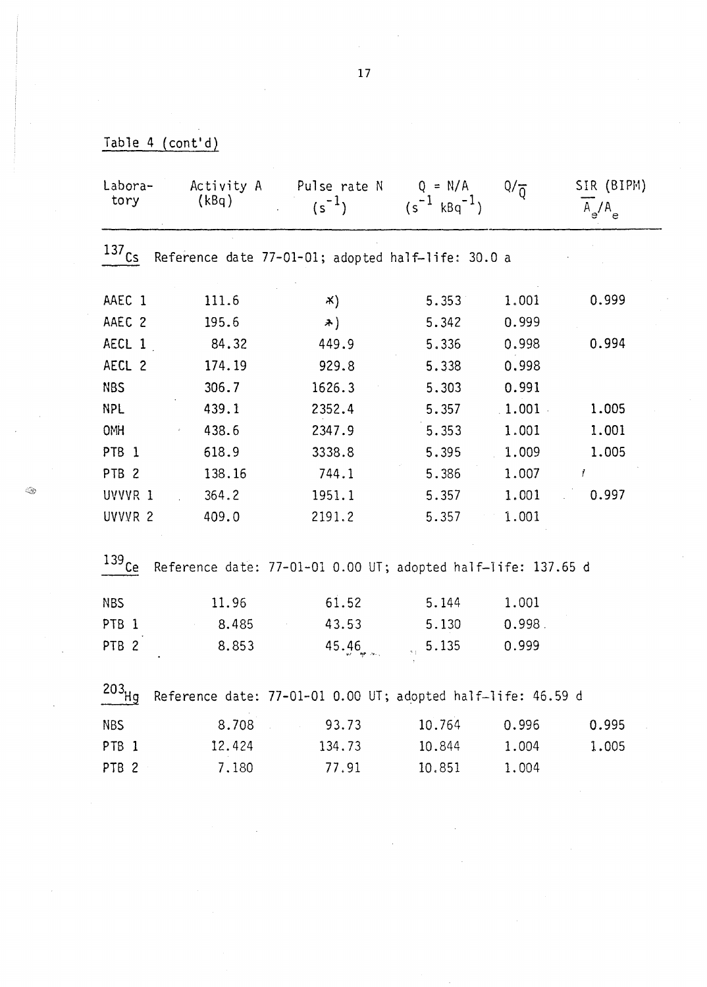| Labora-<br>tory                                                                    | Activity A<br>(kBq)                                          | Pulse rate N<br>$(s^{-1})$           | $Q = N/A$<br>$(s^{-1} kBq^{-1})$ | $Q/\overline{Q}$ | SIR (BIPM)<br>$A_e/A_e$ |  |  |
|------------------------------------------------------------------------------------|--------------------------------------------------------------|--------------------------------------|----------------------------------|------------------|-------------------------|--|--|
| $137$ $C_5$                                                                        | Reference date 77-01-01; adopted half-life: 30.0 a           |                                      |                                  |                  |                         |  |  |
| AAEC 1                                                                             | 111.6                                                        | $\mathbf{x})$                        | 5.353                            | 1.001            | 0.999                   |  |  |
| AAEC 2                                                                             | 195.6                                                        | $\rightarrow$                        | 5.342                            | 0.999            |                         |  |  |
| AECL 1                                                                             | 84.32                                                        | 449.9                                | 5.336                            | 0.998            | 0.994                   |  |  |
| AECL 2                                                                             | 174.19                                                       | 929.8                                | 5.338                            | 0.998            |                         |  |  |
| <b>NBS</b>                                                                         | 306.7                                                        | 1626.3                               | 5.303                            | 0.991            |                         |  |  |
| <b>NPL</b>                                                                         | 439.1                                                        | 2352.4                               | 5.357                            | $1.001$ .        | 1.005                   |  |  |
| <b>OMH</b>                                                                         | 438.6                                                        | 2347.9                               | 5.353                            | 1.001            | 1.001                   |  |  |
| PTB <sub>1</sub>                                                                   | 618.9                                                        | 3338.8                               | 5.395                            | 1.009            | 1.005                   |  |  |
| PTB <sub>2</sub>                                                                   | 138.16                                                       | 744.1                                | 5.386                            | 1.007            | $\prime$                |  |  |
| UVVVR 1                                                                            | 364.2                                                        | 1951.1                               | 5.357                            | 1.001            | 0.997                   |  |  |
| UVVVR <sub>2</sub>                                                                 | 409.0                                                        | 2191.2                               | 5.357                            | 1.001            |                         |  |  |
| $139$ $C_{\rm e}$<br>Reference date: 77-01-01 0.00 UT; adopted half-life: 137.65 d |                                                              |                                      |                                  |                  |                         |  |  |
| <b>NBS</b>                                                                         | 11.96                                                        | 61.52                                | 5.144                            | 1.001            |                         |  |  |
| PTB <sub>1</sub>                                                                   | 8.485                                                        | 43.53                                | 5.130                            | 0.998.           |                         |  |  |
| PTB <sub>2</sub>                                                                   | 8.853                                                        | 45.46                                | 5.135<br>$2\%$                   | 0.999            |                         |  |  |
| $203$ Hg                                                                           | Reference date: 77-01-01 0.00 UT; adopted half-life: 46.59 d |                                      |                                  |                  |                         |  |  |
| <b>NBS</b>                                                                         | 8.708                                                        | 93.73<br>$\mathcal{A}^{\mathcal{A}}$ | 10.764                           | 0.996            | 0.995                   |  |  |
| PTB <sub>1</sub>                                                                   | 12.424                                                       | 134.73                               | 10.844                           | 1.004            | 1.005                   |  |  |
| PTB <sub>2</sub>                                                                   | 7.180                                                        | 77.91                                | 10.851                           | 1.004            |                         |  |  |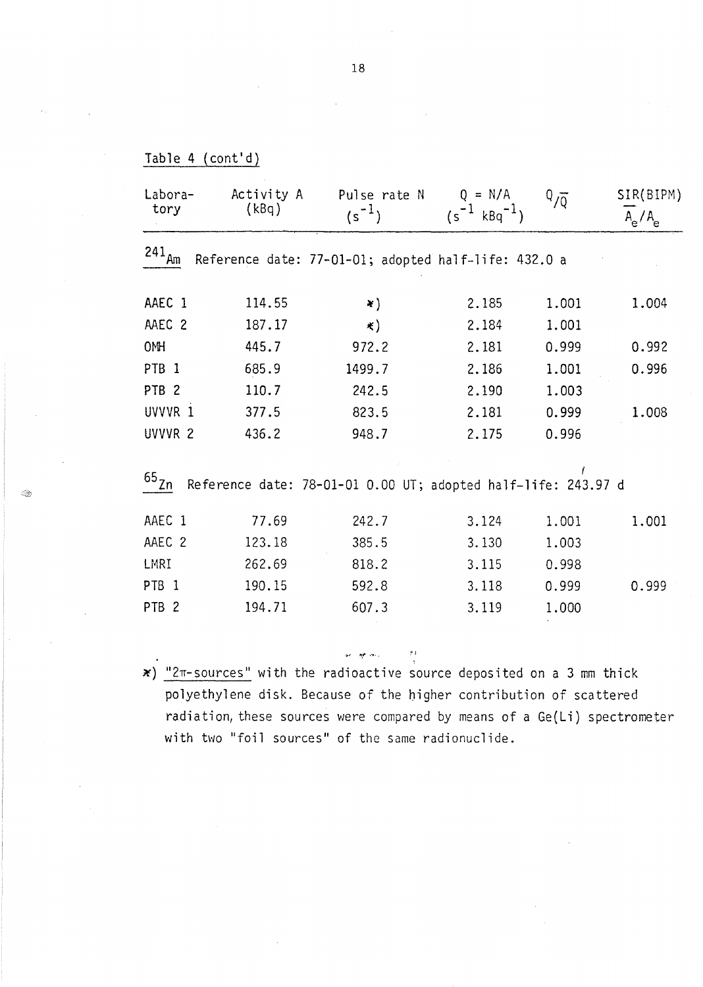| Labora-<br>tory    | Activity A<br>(kBq) | Pulse rate N                                                  | $Q = N/A$            | $\sqrt[0]{\overline{Q}}$ | SIR(BIPM) |
|--------------------|---------------------|---------------------------------------------------------------|----------------------|--------------------------|-----------|
|                    |                     | $(s^{-1})$                                                    | $(s^{-1} k Bq^{-1})$ |                          | $A_e/A_e$ |
| $241_{\text{Am}}$  |                     | Reference date: 77-01-01; adopted half-life: 432.0 a          |                      |                          |           |
| AAEC 1             | 114.55              | $\ast)$                                                       | 2.185                | 1.001                    | 1.004     |
| AAEC 2             | 187.17              | $\ast)$                                                       | 2.184                | 1.001                    |           |
| 0MH                | 445.7               | 972.2                                                         | 2.181                | 0.999                    | 0.992     |
| PTB <sub>1</sub>   | 685.9               | 1499.7                                                        | 2.186                | 1.001                    | 0.996     |
| PTB <sub>2</sub>   | 110.7               | 242.5                                                         | 2.190                | 1.003                    |           |
| UVVVR 1            | 377.5               | 823.5                                                         | 2.181                | 0.999                    | 1.008     |
| UVVVR <sub>2</sub> | 436.2               | 948.7                                                         | 2.175                | 0.996                    |           |
| $65_{Zn}$          |                     | Reference date: 78-01-01 0.00 UT; adopted half-life: 243.97 d |                      |                          |           |
| AAEC 1             | 77.69               | 242.7                                                         | 3.124                | 1.001                    | 1.001     |
| AAEC 2             | 123.18              | 385.5                                                         | 3.130                | 1.003                    |           |
| LMRI               | 262.69              | 818.2                                                         | 3.115                | 0.998                    |           |
| PTB <sub>1</sub>   | 190.15              | 592.8                                                         | 3.118                | 0.999                    | 0.999     |
| PTB <sub>2</sub>   | 194.71              | 607.3                                                         | 3.119                | 1.000                    |           |

 $\ast$ ) "2 $\pi$ -sources" with the radioactive source deposited on a 3 mm thick polyethylene disk. Because of the higher contribution of scattered radiation, these sources were compared by means of a Ge(Li) spectrometer with two "foil sources" of the same radionuclide.

w gras

Table 4 (cont'd)

Q,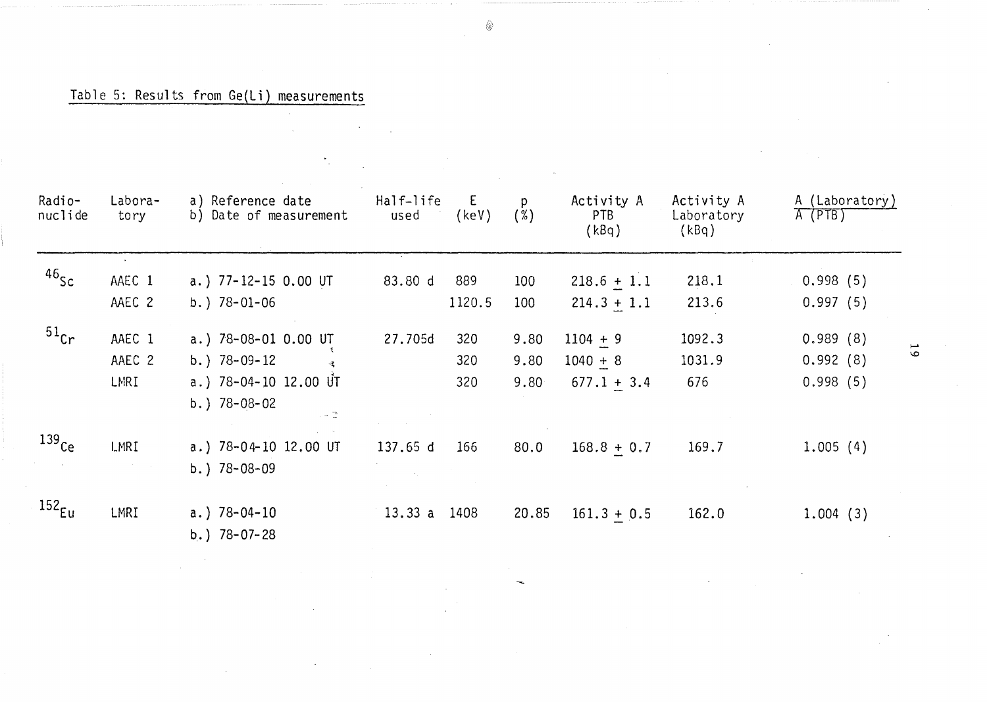# Table 5: Results from Ge(Li) measurements

 $\mathcal{L}_{\mathcal{L}}$ 

 $\sim$ 

 $\label{eq:2.1} \frac{1}{2} \sum_{i=1}^n \frac{1}{2} \sum_{j=1}^n \frac{1}{2} \sum_{j=1}^n \frac{1}{2} \sum_{j=1}^n \frac{1}{2} \sum_{j=1}^n \frac{1}{2} \sum_{j=1}^n \frac{1}{2} \sum_{j=1}^n \frac{1}{2} \sum_{j=1}^n \frac{1}{2} \sum_{j=1}^n \frac{1}{2} \sum_{j=1}^n \frac{1}{2} \sum_{j=1}^n \frac{1}{2} \sum_{j=1}^n \frac{1}{2} \sum_{j=1}^n \frac{$ 

| Radio-<br>nuclide  | Labora-<br>tory | a) Reference date<br>b) Date of measurement             | Half-life<br>used | E.<br>(key) | p.<br>$(\%)$     | Activity A<br>PTB<br>(kBq) | Activity A<br>Laboratory<br>(kBq) | A (Laboratory)<br>$A$ (PTB) |
|--------------------|-----------------|---------------------------------------------------------|-------------------|-------------|------------------|----------------------------|-----------------------------------|-----------------------------|
| $46$ Sc            | AAEC 1          | a.) 77-12-15 0.00 UT                                    | 83.80 d           | 889         | 100 <sub>1</sub> | $218.6 + 1.1$              | 218.1                             | 0.998(5)                    |
|                    | AAEC 2          | b.) $78-01-06$                                          |                   | 1120.5      | 100              | $214.3 + 1.1$              | 213.6                             | 0.997(5)                    |
| $51$ <sub>Cr</sub> | AAEC 1          | a.) 78-08-01 0.00 UT                                    | 27.705d           | 320         | 9.80             | $1104 + 9$                 | 1092.3                            | 0.989(8)                    |
|                    | AAEC 2          | b.) $78-09-12$                                          |                   | 320         | 9.80             | $1040 + 8$                 | 1031.9                            | 0.992(8)                    |
|                    | LMRI            | a.) $78-04-10$ 12.00 UT<br>$b.$ ) 78-08-02<br>$\sim$ 2. |                   | 320         | 9.80             | $677.1 + 3.4$              | 676                               | 0.998(5)                    |
| $139$ Ce           | LMRI            | a.) $78 - 04 - 10$ 12.00 UT<br>b.) $78 - 08 - 09$       | 137.65 d          | 166         | 80.0             | $168.8 + 0.7$              | 169.7                             | 1.005(4)                    |
| 152 <sub>Eu</sub>  | LMRI            | a.) $78 - 04 - 10$<br>b.) $78 - 07 - 28$                | 13.33 a 1408      |             | 20.85            | $161.3 + 0.5$              | 162.0                             | 1.004(3)                    |

 $\overline{\phantom{a}}$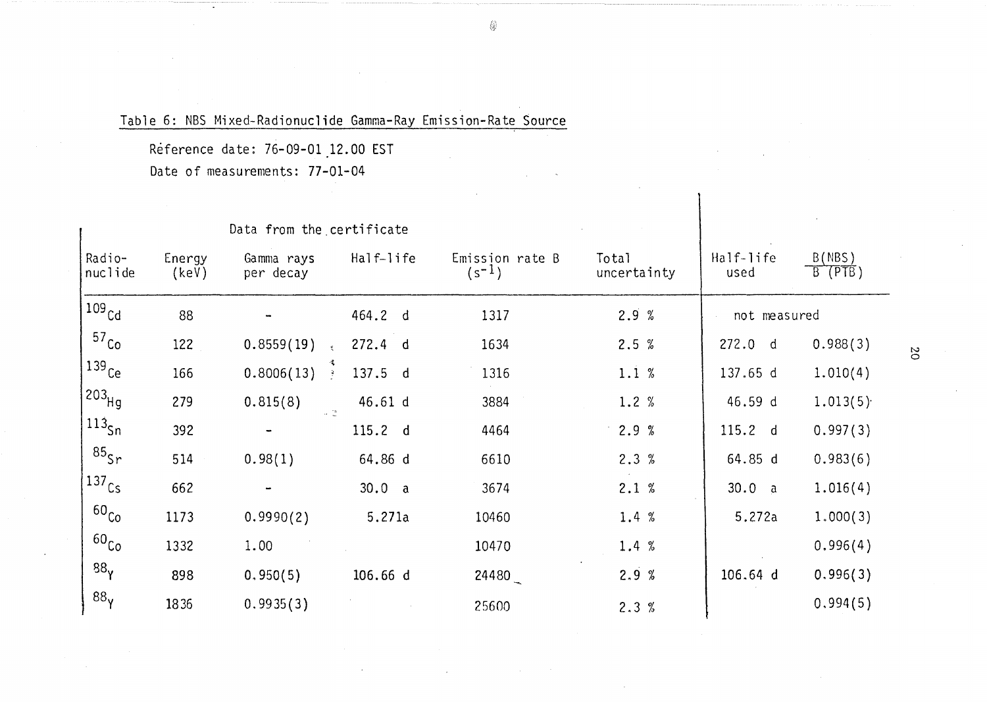# Table 6: NBS Mixed-Radionuclide Gamma-Ray Emission-Rate Source

Reference date: 76-09-01 12.00 EST

Date of measurements: 77-01-04

|                     |                 | Data from the certificate      |           |                            |                      |                   |                     |
|---------------------|-----------------|--------------------------------|-----------|----------------------------|----------------------|-------------------|---------------------|
| Radio-<br>nuclide   | Energy<br>(key) | Gamma rays<br>per decay        | Half-life | Emission rate B<br>$(s-1)$ | Total<br>uncertainty | Half-life<br>used | B(MBS)<br>$B$ (PTB) |
| $109$ $Cd$          | 88              |                                | 464.2 d   | 1317                       | 2.9%                 | not measured      |                     |
| 57 <sub>Co</sub>    | 122             | 0.8559(19)                     | 272.4 d   | 1634                       | 2.5%                 | 272.0 d           | 0.988(3)            |
| $(139)$ Ce          | 166             | 0.8006(13)<br>$\sim 3^{\circ}$ | 137.5 d   | 1316                       | 1.1%                 | 137.65 d          | 1.010(4)            |
| $203$ Hq            | 279             | 0.815(8)<br>$\omega$ (a)       | 46.61 d   | 3884                       | 1.2%                 | 46.59 d           | 1.013(5)            |
| $113_{\text{Sn}}$   | 392             |                                | 115.2 d   | 4464                       | 2.9%                 | 115.2 d           | 0.997(3)            |
| $85$ Sr             | 514             | 0.98(1)                        | 64.86 d   | 6610                       | 2.3%                 | 64.85 d           | 0.983(6)            |
| $137$ <sub>Cs</sub> | 662             |                                | 30.0 a    | 3674                       | 2.1%                 | 30.0 a            | 1.016(4)            |
| 60 <sub>Co</sub>    | 1173            | 0.9990(2)                      | 5.271a    | 10460                      | 1.4 %                | 5.272a            | 1.000(3)            |
| 60 <sub>Co</sub>    | 1332            | 1.00                           |           | 10470                      | 1.4 %                |                   | 0.996(4)            |
| 88 <sub>y</sub>     | 898             | 0,950(5)                       | 106.66 d  | 24480                      | 2.9%                 | 106.64 d          | 0.996(3)            |
| 88 <sub>y</sub>     | 1836            | 0.9935(3)                      |           | 25600                      | 2.3%                 |                   | 0.994(5)            |

◈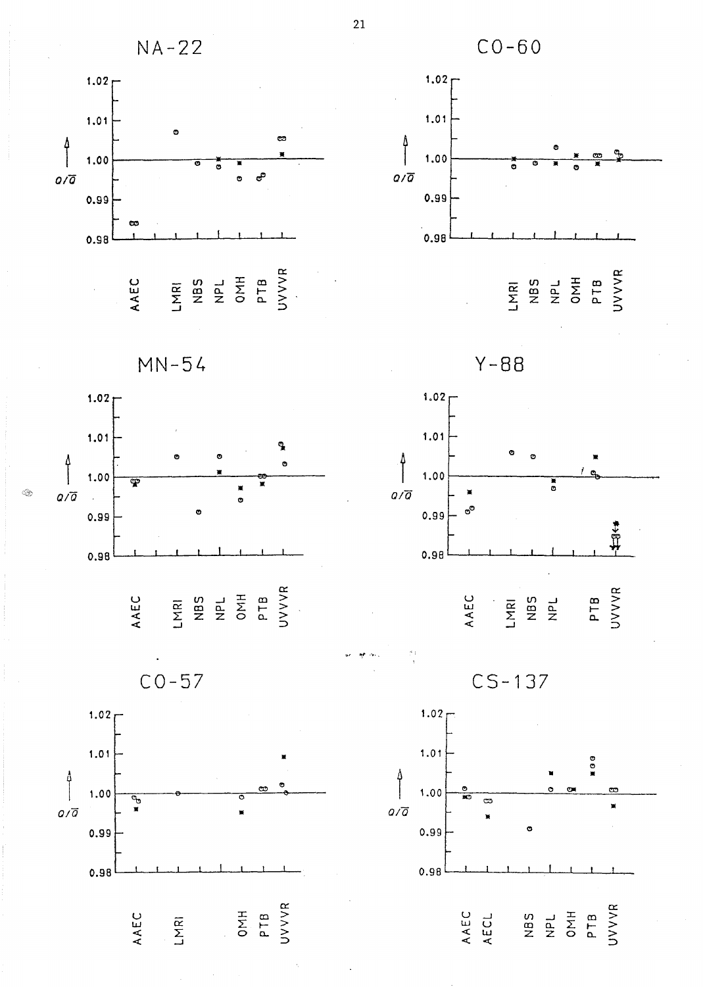

 $\overline{21}$